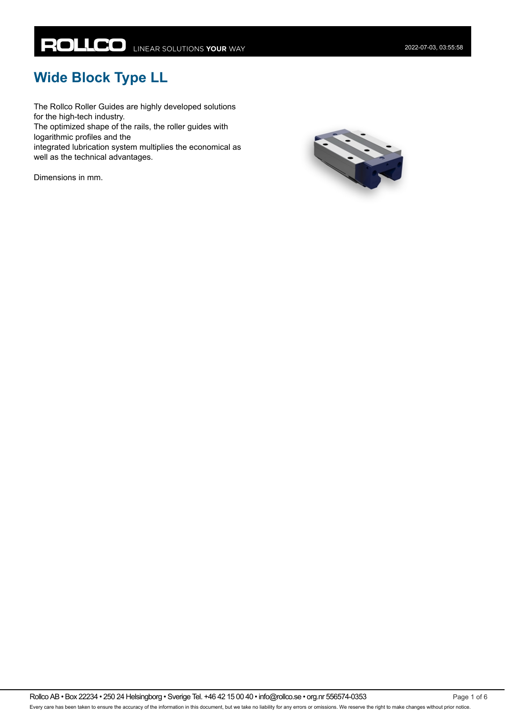# **Wide Block Type LL**

The Rollco Roller Guides are highly developed solutions for the high-tech industry.

The optimized shape of the rails, the roller guides with logarithmic profiles and the

integrated lubrication system multiplies the economical as well as the technical advantages.

Dimensions in mm.

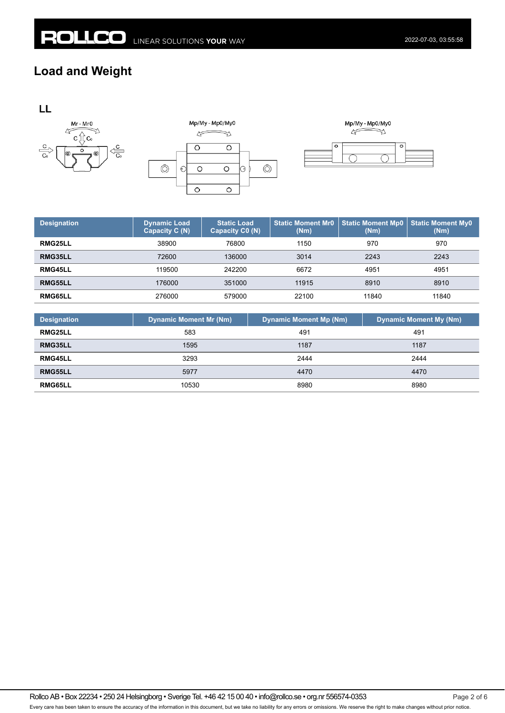### **Load and Weight**









| <b>Designation</b> | <b>Dynamic Load</b><br>Capacity C (N) | <b>Static Load</b><br>Capacity C0 (N) | <b>Static Moment Mr0</b><br>(Nm) | <b>Static Moment Mp0</b><br>(Nm) | <b>Static Moment My0</b><br>(Nm) |
|--------------------|---------------------------------------|---------------------------------------|----------------------------------|----------------------------------|----------------------------------|
| RMG25LL            | 38900                                 | 76800                                 | 1150                             | 970                              | 970                              |
| RMG35LL            | 72600                                 | 136000                                | 3014                             | 2243                             | 2243                             |
| RMG45LL            | 119500                                | 242200                                | 6672                             | 4951                             | 4951                             |
| RMG55LL            | 176000                                | 351000                                | 11915                            | 8910                             | 8910                             |
| RMG65LL            | 276000                                | 579000                                | 22100                            | 11840                            | 11840                            |

| <b>Designation</b> | <b>Dynamic Moment Mr (Nm)</b> | <b>Dynamic Moment Mp (Nm)</b> | <b>Dynamic Moment My (Nm)</b> |
|--------------------|-------------------------------|-------------------------------|-------------------------------|
| <b>RMG25LL</b>     | 583                           | 491                           | 491                           |
| RMG35LL            | 1595                          | 1187                          | 1187                          |
| <b>RMG45LL</b>     | 3293                          | 2444                          | 2444                          |
| RMG55LL            | 5977                          | 4470                          | 4470                          |
| RMG65LL            | 10530                         | 8980                          | 8980                          |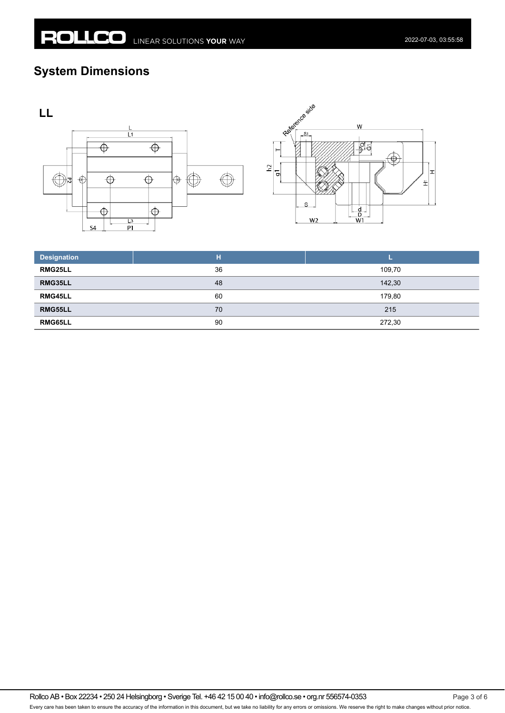## **System Dimensions**





| <b>Designation</b> | н  |        |
|--------------------|----|--------|
| RMG25LL            | 36 | 109,70 |
| RMG35LL            | 48 | 142,30 |
| RMG45LL            | 60 | 179,80 |
| RMG55LL            | 70 | 215    |
| RMG65LL            | 90 | 272,30 |

Rollco AB • Box 22234 • 250 24 Helsingborg • Sverige Tel. +46 42 15 00 40 • info@rollco.se • org.nr 556574-0353 Every care has been taken to ensure the accuracy of the information in this document, but we take no liability for any errors or omissions. We reserve the right to make changes without prior notice.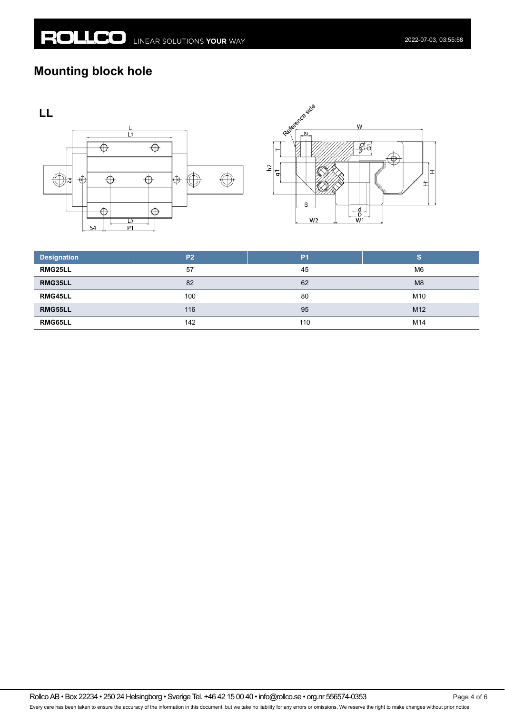## **Mounting block hole**





| <b>Designation</b> | P <sub>2</sub> | P <sub>1</sub> | S               |
|--------------------|----------------|----------------|-----------------|
| RMG25LL            | 57             | 45             | M <sub>6</sub>  |
| RMG35LL            | 82             | 62             | M <sub>8</sub>  |
| RMG45LL            | 100            | 80             | M10             |
| RMG55LL            | 116            | 95             | M <sub>12</sub> |
| RMG65LL            | 142            | 110            | M14             |

Rollco AB • Box 22234 • 250 24 Helsingborg • Sverige Tel. +46 42 15 00 40 • info@rollco.se • org.nr 556574-0353 Every care has been taken to ensure the accuracy of the information in this document, but we take no liability for any errors or omissions. We reserve the right to make changes without prior notice.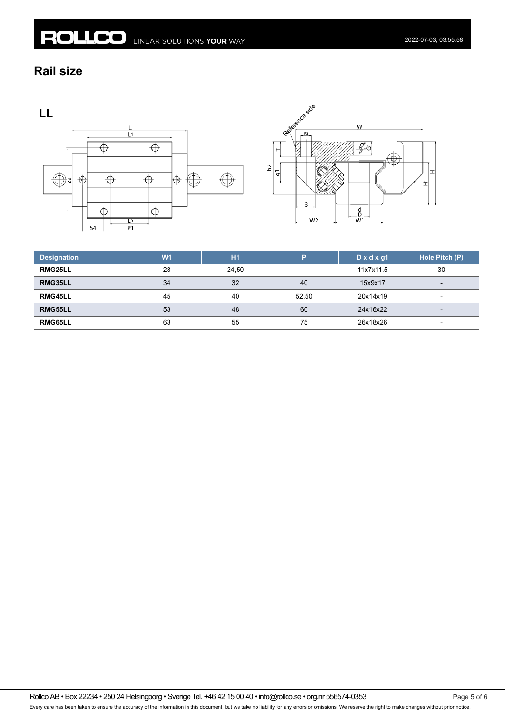#### **Rail size**

LL





| <b>Designation</b> | W <sub>1</sub> | H1    | D                        | $D \times d \times q1$ | Hole Pitch (P)           |
|--------------------|----------------|-------|--------------------------|------------------------|--------------------------|
| RMG25LL            | 23             | 24.50 | $\overline{\phantom{a}}$ | 11x7x11.5              | 30                       |
| RMG35LL            | 34             | 32    | 40                       | 15x9x17                | $\overline{\phantom{0}}$ |
| RMG45LL            | 45             | 40    | 52.50                    | 20x14x19               | $\overline{\phantom{a}}$ |
| RMG55LL            | 53             | 48    | 60                       | 24x16x22               | $\overline{\phantom{a}}$ |
| RMG65LL            | 63             | 55    | 75                       | 26x18x26               | $\overline{\phantom{0}}$ |

Rollco AB • Box 22234 • 250 24 Helsingborg • Sverige Tel. +46 42 15 00 40 • info@rollco.se • org.nr 556574-0353 Page 5 of 6 Every care has been taken to ensure the accuracy of the information in this document, but we take no liability for any errors or omissions. We reserve the right to make changes without prior notice.